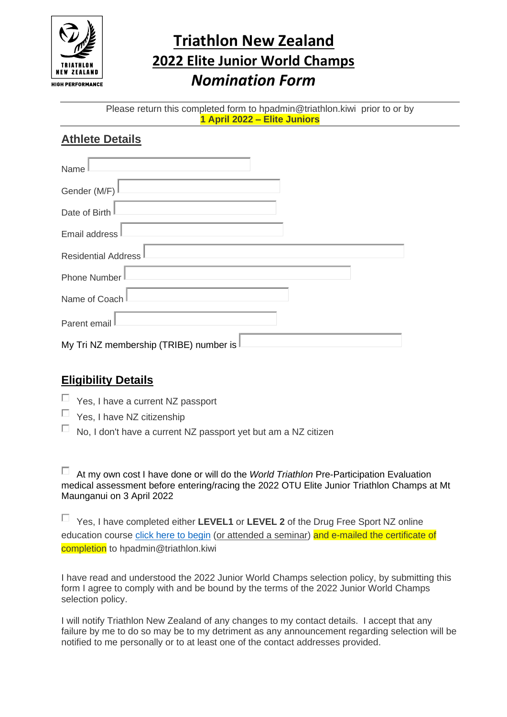

## **Triathlon New Zealand 2022 Elite Junior World Champs** *Nomination Form*

Please return this completed form to hpadmin@triathlon.kiwi prior to or by **1 April 2022 – Elite Juniors**

## **Athlete Details**

| Name                                   |
|----------------------------------------|
| Gender (M/F)                           |
| Date of Birth                          |
| Email address                          |
| <b>Residential Address</b>             |
| <b>Phone Number</b>                    |
| Name of Coach                          |
| Parent email                           |
| My Tri NZ membership (TRIBE) number is |

## **Eligibility Details**

- $\Box$  Yes, I have a current NZ passport
- $\Box$  Yes, I have NZ citizenship
- $\Box$  No, I don't have a current NZ passport yet but am a NZ citizen

At my own cost I have done or will do the *World Triathlon* Pre-Participation Evaluation medical assessment before entering/racing the 2022 OTU Elite Junior Triathlon Champs at Mt Maunganui on 3 April 2022

Yes, I have completed either **LEVEL1** or **LEVEL 2** of the Drug Free Sport NZ online education course [click here to begin](https://drugfreesport.kineoportal.co.nz/) (or attended a seminar) and e-mailed the certificate of completion to hpadmin@triathlon.kiwi

I have read and understood the 2022 Junior World Champs selection policy, by submitting this form I agree to comply with and be bound by the terms of the 2022 Junior World Champs selection policy.

I will notify Triathlon New Zealand of any changes to my contact details. I accept that any failure by me to do so may be to my detriment as any announcement regarding selection will be notified to me personally or to at least one of the contact addresses provided.